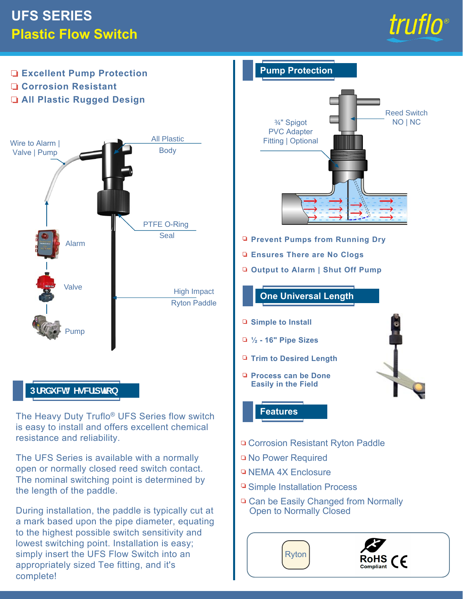## **UFS SERIES Plastic Flow Switch**





The UFS Series is available with a normally open or normally closed reed switch contact. The nominal switching point is determined by the length of the paddle.

During installation, the paddle is typically cut at a mark based upon the pipe diameter, equating to the highest possible switch sensitivity and lowest switching point. Installation is easy; simply insert the UFS Flow Switch into an appropriately sized Tee fitting, and it's complete!

- □ No Power Required
- **NEMA 4X Enclosure**
- **□ Simple Installation Process**
- □ Can be Easily Changed from Normally Open to Normally Closed